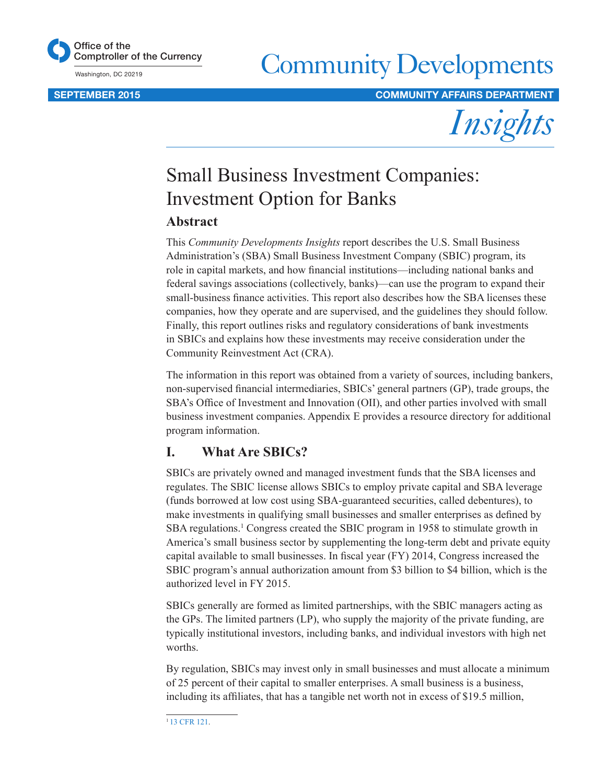

Washington, DC 20219

# Community Developments

SEPTEMBER 2015 COMMUNITY AFFAIRS DEPARTMENT



# Small Business Investment Companies: Investment Option for Banks

# **Abstract**

This *Community Developments Insights* report describes the U.S. Small Business Administration's (SBA) Small Business Investment Company (SBIC) program, its role in capital markets, and how financial institutions—including national banks and federal savings associations (collectively, banks)—can use the program to expand their small-business finance activities. This report also describes how the SBA licenses these companies, how they operate and are supervised, and the guidelines they should follow. Finally, this report outlines risks and regulatory considerations of bank investments in SBICs and explains how these investments may receive consideration under the Community Reinvestment Act (CRA).

The information in this report was obtained from a variety of sources, including bankers, non-supervised financial intermediaries, SBICs' general partners (GP), trade groups, the SBA's Office of Investment and Innovation (OII), and other parties involved with small business investment companies. Appendix E provides a resource directory for additional program information.

# **I. What Are SBICs?**

SBICs are privately owned and managed investment funds that the SBA licenses and regulates. The SBIC license allows SBICs to employ private capital and SBA leverage (funds borrowed at low cost using SBA-guaranteed securities, called debentures), to make investments in qualifying small businesses and smaller enterprises as defined by SBA regulations.<sup>1</sup> Congress created the SBIC program in 1958 to stimulate growth in America's small business sector by supplementing the long-term debt and private equity capital available to small businesses. In fiscal year (FY) 2014, Congress increased the SBIC program's annual authorization amount from \$3 billion to \$4 billion, which is the authorized level in FY 2015.

SBICs generally are formed as limited partnerships, with the SBIC managers acting as the GPs. The limited partners (LP), who supply the majority of the private funding, are typically institutional investors, including banks, and individual investors with high net worths.

By regulation, SBICs may invest only in small businesses and must allocate a minimum of 25 percent of their capital to smaller enterprises. A small business is a business, including its affiliates, that has a tangible net worth not in excess of \$19.5 million,

<sup>&</sup>lt;sup>1</sup>[13 CFR 121](http://www.access.gpo.gov/nara/cfr/waisidx_09/13cfr107_09.html).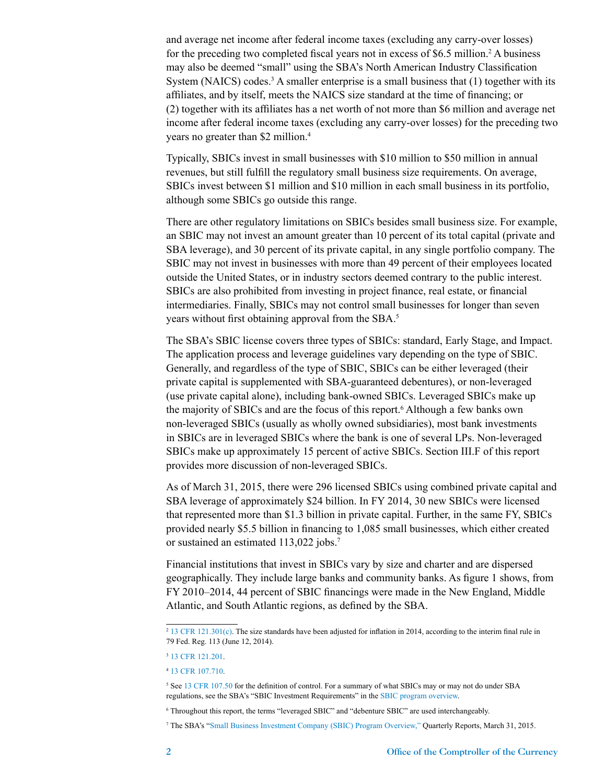and average net income after federal income taxes (excluding any carry-over losses) for the preceding two completed fiscal years not in excess of \$6.5 million.<sup>2</sup> A business may also be deemed "small" using the SBA's North American Industry Classification System (NAICS) codes.<sup>3</sup> A smaller enterprise is a small business that  $(1)$  together with its affiliates, and by itself, meets the NAICS size standard at the time of financing; or (2) together with its affiliates has a net worth of not more than \$6 million and average net income after federal income taxes (excluding any carry-over losses) for the preceding two years no greater than \$2 million.<sup>4</sup>

Typically, SBICs invest in small businesses with \$10 million to \$50 million in annual revenues, but still fulfill the regulatory small business size requirements. On average, SBICs invest between \$1 million and \$10 million in each small business in its portfolio, although some SBICs go outside this range.

There are other regulatory limitations on SBICs besides small business size. For example, an SBIC may not invest an amount greater than 10 percent of its total capital (private and SBA leverage), and 30 percent of its private capital, in any single portfolio company. The SBIC may not invest in businesses with more than 49 percent of their employees located outside the United States, or in industry sectors deemed contrary to the public interest. SBICs are also prohibited from investing in project finance, real estate, or financial intermediaries. Finally, SBICs may not control small businesses for longer than seven years without first obtaining approval from the SBA.5

The SBA's SBIC license covers three types of SBICs: standard, Early Stage, and Impact. The application process and leverage guidelines vary depending on the type of SBIC. Generally, and regardless of the type of SBIC, SBICs can be either leveraged (their private capital is supplemented with SBA-guaranteed debentures), or non-leveraged (use private capital alone), including bank-owned SBICs. Leveraged SBICs make up the majority of SBICs and are the focus of this report.<sup>6</sup> Although a few banks own non-leveraged SBICs (usually as wholly owned subsidiaries), most bank investments in SBICs are in leveraged SBICs where the bank is one of several LPs. Non-leveraged SBICs make up approximately 15 percent of active SBICs. Section III.F of this report provides more discussion of non-leveraged SBICs.

As of March 31, 2015, there were 296 licensed SBICs using combined private capital and SBA leverage of approximately \$24 billion. In FY 2014, 30 new SBICs were licensed that represented more than \$1.3 billion in private capital. Further, in the same FY, SBICs provided nearly \$5.5 billion in financing to 1,085 small businesses, which either created or sustained an estimated 113,022 jobs.<sup>7</sup>

Financial institutions that invest in SBICs vary by size and charter and are dispersed geographically. They include large banks and community banks. As figure 1 shows, from FY 2010–2014, 44 percent of SBIC financings were made in the New England, Middle Atlantic, and South Atlantic regions, as defined by the SBA.

6 Throughout this report, the terms "leveraged SBIC" and "debenture SBIC" are used interchangeably.

7 The SBA's "[Small Business Investment Company \(SBIC\) Program Overview,"](https://www.sba.gov/sites/default/files/files/WebSBICProgramOverview_March2015.pdf) Quarterly Reports, March 31, 2015.

<sup>&</sup>lt;sup>2</sup> [13 CFR 121.301\(c\).](http://www.gpo.gov/fdsys/pkg/CFR-2011-title13-vol1/pdf/CFR-2011-title13-vol1-sec121-301.pdf) The size standards have been adjusted for inflation in 2014, according to the interim final rule in 79 Fed. Reg. 113 (June 12, 2014).

<sup>3</sup> [13 CFR 121.201](http://www.gpo.gov/fdsys/granule/CFR-2011-title13-vol1/CFR-2011-title13-vol1-sec121-201).

<sup>4</sup> [13 CFR 107.710](http://www.gpo.gov/fdsys/pkg/CFR-2015-title13-vol1/pdf/CFR-2015-title13-vol1-sec107-710.pdf).

<sup>&</sup>lt;sup>5</sup> See [13 CFR 107.50](http://www.gpo.gov/fdsys/pkg/CFR-2015-title13-vol1/pdf/CFR-2015-title13-vol1-sec107-50.pdf) for the definition of control. For a summary of what SBICs may or may not do under SBA regulations, see the SBA's "SBIC Investment Requirements" in the [SBIC program overview](http://www.sba.gov/content/sbic-program-overview).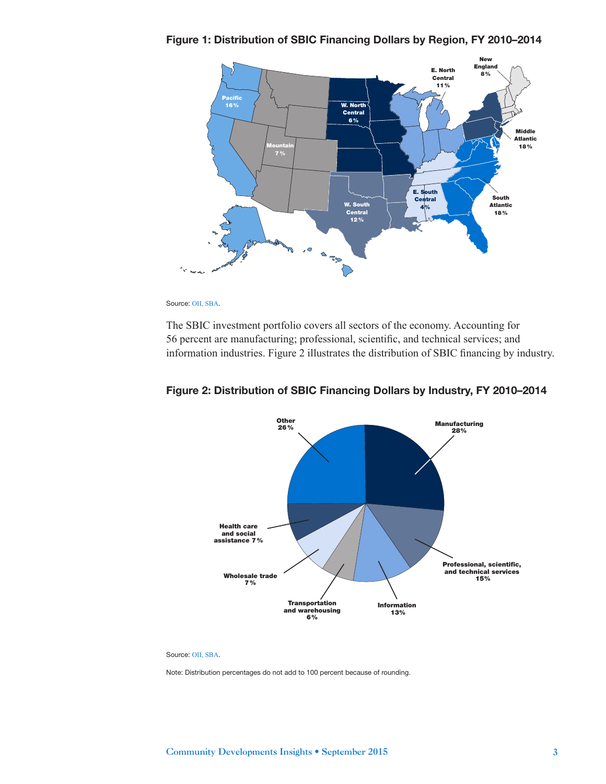Figure 1: Distribution of SBIC Financing Dollars by Region, FY 2010–2014



Source: [OII, SBA](https://www.sba.gov/sites/default/files/articles/SBIC_Program_-_Standard_One-Pager.pdf).

The SBIC investment portfolio covers all sectors of the economy. Accounting for 56 percent are manufacturing; professional, scientific, and technical services; and information industries. Figure 2 illustrates the distribution of SBIC financing by industry.



#### Figure 2: Distribution of SBIC Financing Dollars by Industry, FY 2010–2014

Source: [OII, SBA](https://www.sba.gov/sites/default/files/articles/SBIC_Program_-_Standard_One-Pager.pdf).

Note: Distribution percentages do not add to 100 percent because of rounding.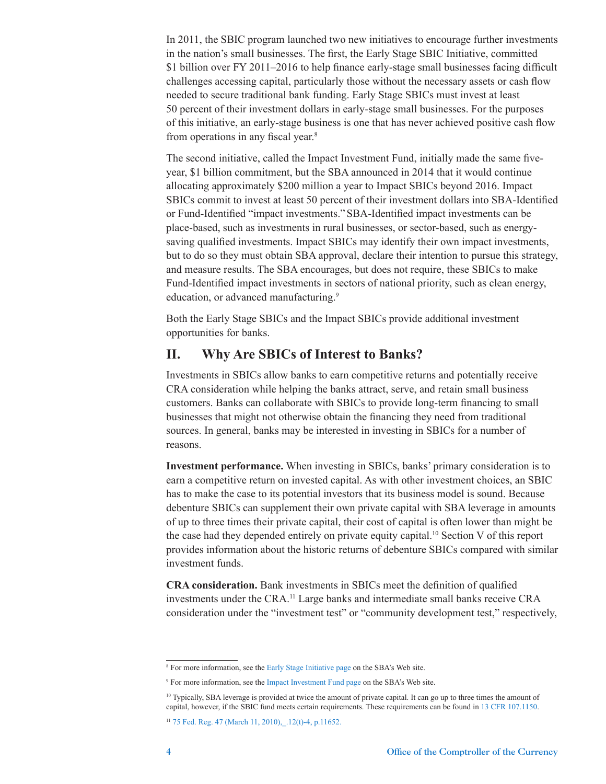In 2011, the SBIC program launched two new initiatives to encourage further investments in the nation's small businesses. The first, the Early Stage SBIC Initiative, committed \$1 billion over FY 2011–2016 to help finance early-stage small businesses facing difficult challenges accessing capital, particularly those without the necessary assets or cash flow needed to secure traditional bank funding. Early Stage SBICs must invest at least 50 percent of their investment dollars in early-stage small businesses. For the purposes of this initiative, an early-stage business is one that has never achieved positive cash flow from operations in any fiscal year.<sup>8</sup>

The second initiative, called the Impact Investment Fund, initially made the same fiveyear, \$1 billion commitment, but the SBA announced in 2014 that it would continue allocating approximately \$200 million a year to Impact SBICs beyond 2016. Impact SBICs commit to invest at least 50 percent of their investment dollars into SBA-Identified or Fund-Identified "impact investments." SBA-Identified impact investments can be place-based, such as investments in rural businesses, or sector-based, such as energysaving qualified investments. Impact SBICs may identify their own impact investments, but to do so they must obtain SBA approval, declare their intention to pursue this strategy, and measure results. The SBA encourages, but does not require, these SBICs to make Fund-Identified impact investments in sectors of national priority, such as clean energy, education, or advanced manufacturing.<sup>9</sup>

Both the Early Stage SBICs and the Impact SBICs provide additional investment opportunities for banks.

## **II. Why Are SBICs of Interest to Banks?**

Investments in SBICs allow banks to earn competitive returns and potentially receive CRA consideration while helping the banks attract, serve, and retain small business customers. Banks can collaborate with SBICs to provide long-term financing to small businesses that might not otherwise obtain the financing they need from traditional sources. In general, banks may be interested in investing in SBICs for a number of reasons.

**Investment performance.** When investing in SBICs, banks' primary consideration is to earn a competitive return on invested capital. As with other investment choices, an SBIC has to make the case to its potential investors that its business model is sound. Because debenture SBICs can supplement their own private capital with SBA leverage in amounts of up to three times their private capital, their cost of capital is often lower than might be the case had they depended entirely on private equity capital.<sup>10</sup> Section V of this report provides information about the historic returns of debenture SBICs compared with similar investment funds.

**CRA consideration.** Bank investments in SBICs meet the definition of qualified investments under the CRA.11 Large banks and intermediate small banks receive CRA consideration under the "investment test" or "community development test," respectively,

<sup>8</sup> For more information, see the [Early Stage Initiative page](http://www.sba.gov/category/lender-navigation/sba-loan-programs/sbic-program/general-information/early-stage-sbic-initi) on the SBA's Web site.

<sup>9</sup> For more information, see the [Impact Investment Fund page](http://www.sba.gov/category/lender-navigation/sba-loan-programs/sbic-program/general-information/impact-investment-sbic) on the SBA's Web site.

<sup>10</sup> Typically, SBA leverage is provided at twice the amount of private capital. It can go up to three times the amount of capital, however, if the SBIC fund meets certain requirements. These requirements can be found in [13 CFR 107.1150](http://www.gpo.gov/fdsys/granule/CFR-2009-title13-vol1/CFR-2009-title13-vol1-sec107-1150).

 $11$  75 Fed. Reg. 47 (March 11, 2010),  $.12(t)$ -4, p.11652.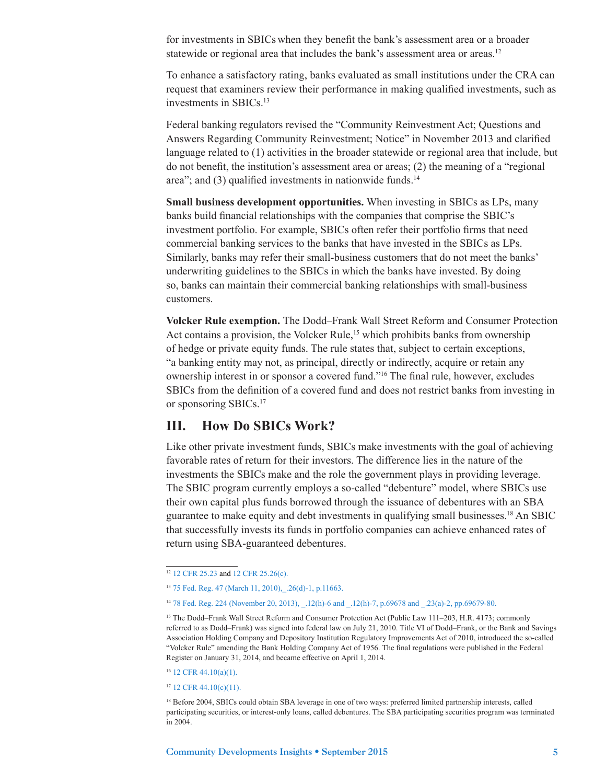for investments in SBICs when they benefit the bank's assessment area or a broader statewide or regional area that includes the bank's assessment area or areas.<sup>12</sup>

To enhance a satisfactory rating, banks evaluated as small institutions under the CRA can request that examiners review their performance in making qualified investments, such as investments in SBICs.13

Federal banking regulators revised the "Community Reinvestment Act; Questions and Answers Regarding Community Reinvestment; Notice" in November 2013 and clarified language related to (1) activities in the broader statewide or regional area that include, but do not benefit, the institution's assessment area or areas; (2) the meaning of a "regional area"; and  $(3)$  qualified investments in nationwide funds.<sup>14</sup>

**Small business development opportunities.** When investing in SBICs as LPs, many banks build financial relationships with the companies that comprise the SBIC's investment portfolio. For example, SBICs often refer their portfolio firms that need commercial banking services to the banks that have invested in the SBICs as LPs. Similarly, banks may refer their small-business customers that do not meet the banks' underwriting guidelines to the SBICs in which the banks have invested. By doing so, banks can maintain their commercial banking relationships with small-business customers.

**Volcker Rule exemption.** The Dodd–Frank Wall Street Reform and Consumer Protection Act contains a provision, the Volcker Rule,<sup>15</sup> which prohibits banks from ownership of hedge or private equity funds. The rule states that, subject to certain exceptions, "a banking entity may not, as principal, directly or indirectly, acquire or retain any ownership interest in or sponsor a covered fund."16 The final rule, however, excludes SBICs from the definition of a covered fund and does not restrict banks from investing in or sponsoring SBICs.17

## **III. How Do SBICs Work?**

Like other private investment funds, SBICs make investments with the goal of achieving favorable rates of return for their investors. The difference lies in the nature of the investments the SBICs make and the role the government plays in providing leverage. The SBIC program currently employs a so-called "debenture" model, where SBICs use their own capital plus funds borrowed through the issuance of debentures with an SBA guarantee to make equity and debt investments in qualifying small businesses.18 An SBIC that successfully invests its funds in portfolio companies can achieve enhanced rates of return using SBA-guaranteed debentures.

<sup>16</sup> [12 CFR 44.10\(a\)\(1\).](http://www.gpo.gov/fdsys/pkg/CFR-2015-title12-vol1/pdf/CFR-2015-title12-vol1-sec44-10.pdf)

<sup>17</sup> [12 CFR 44.10\(c\)\(11\).](http://www.gpo.gov/fdsys/pkg/CFR-2015-title12-vol1/pdf/CFR-2015-title12-vol1-sec44-10.pdf)

<sup>&</sup>lt;sup>12</sup> [12 CFR 25.23](http://www.gpo.gov/fdsys/pkg/CFR-2015-title12-vol1/pdf/CFR-2015-title12-vol1-sec25-23.pdf) and [12 CFR 25.26\(c\).](http://www.gpo.gov/fdsys/pkg/CFR-2015-title12-vol1/pdf/CFR-2015-title12-vol1-sec25-26.pdf)

<sup>13</sup> [75 Fed. Reg. 47 \(March 11, 2010\),\\_.26\(d\)-1, p.11663.](http://www.occ.gov/news-issuances/federal-register/75fr11642.pdf)

<sup>14</sup> [78 Fed. Reg. 224 \(November 20, 2013\), \\_.12\(h\)-6 and \\_.12\(h\)-7, p.69678 and \\_.23\(a\)-2, pp.69679-80.](http://www.gpo.gov/fdsys/pkg/FR-2013-11-20/pdf/2013-27738.pdf)

<sup>&</sup>lt;sup>15</sup> The Dodd–Frank Wall Street Reform and Consumer Protection Act (Public Law 111–203, H.R. 4173; commonly referred to as Dodd–Frank) was signed into federal law on July 21, 2010. Title VI of Dodd–Frank, or the Bank and Savings Association Holding Company and Depository Institution Regulatory Improvements Act of 2010, introduced the so-called "Volcker Rule" amending the Bank Holding Company Act of 1956. The final regulations were published in the Federal Register on January 31, 2014, and became effective on April 1, 2014.

<sup>18</sup> Before 2004, SBICs could obtain SBA leverage in one of two ways: preferred limited partnership interests, called participating securities, or interest-only loans, called debentures. The SBA participating securities program was terminated in 2004.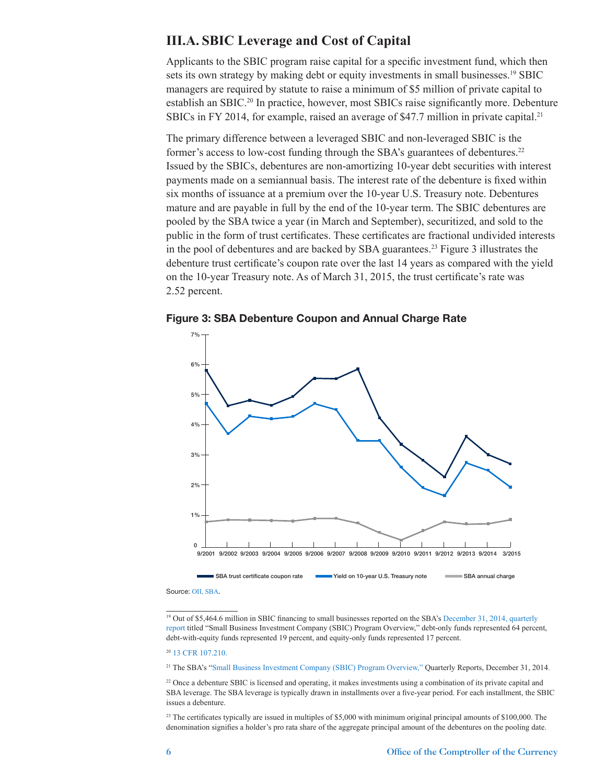## **III.A. SBIC Leverage and Cost of Capital**

Applicants to the SBIC program raise capital for a specific investment fund, which then sets its own strategy by making debt or equity investments in small businesses.<sup>19</sup> SBIC managers are required by statute to raise a minimum of \$5 million of private capital to establish an SBIC.20 In practice, however, most SBICs raise significantly more. Debenture SBICs in FY 2014, for example, raised an average of \$47.7 million in private capital.<sup>21</sup>

The primary difference between a leveraged SBIC and non-leveraged SBIC is the former's access to low-cost funding through the SBA's guarantees of debentures.<sup>22</sup> Issued by the SBICs, debentures are non-amortizing 10-year debt securities with interest payments made on a semiannual basis. The interest rate of the debenture is fixed within six months of issuance at a premium over the 10-year U.S. Treasury note. Debentures mature and are payable in full by the end of the 10-year term. The SBIC debentures are pooled by the SBA twice a year (in March and September), securitized, and sold to the public in the form of trust certificates. These certificates are fractional undivided interests in the pool of debentures and are backed by SBA guarantees.<sup>23</sup> Figure 3 illustrates the debenture trust certificate's coupon rate over the last 14 years as compared with the yield on the 10-year Treasury note. As of March 31, 2015, the trust certificate's rate was 2.52 percent.

![](_page_5_Figure_3.jpeg)

![](_page_5_Figure_4.jpeg)

Source: [OII, SBA](https://www.sba.gov/content/trust-certificate-rates-sbic-participating-security-pools).

<sup>19</sup> Out of \$5,464.6 million in SBIC financing to small businesses reported on the SBA's December 31, 2014, quarterly [report](https://www.sba.gov/sites/default/files/articles/WebSBICProgramOverview_December2014_0.pdf) titled "Small Business Investment Company (SBIC) Program Overview," debt-only funds represented 64 percent, debt-with-equity funds represented 19 percent, and equity-only funds represented 17 percent.

<sup>20</sup> [13 CFR 107.210](http://www.gpo.gov/fdsys/pkg/CFR-2015-title13-vol1/pdf/CFR-2015-title13-vol1-sec107-210.pdf).

<sup>21</sup> The SBA's "[Small Business Investment Company \(SBIC\) Program Overview,"](http://www.sba.gov/content/quarterly-sbic-program-statistics-0) Quarterly Reports, December 31, 2014.

 $22$  Once a debenture SBIC is licensed and operating, it makes investments using a combination of its private capital and SBA leverage. The SBA leverage is typically drawn in installments over a five-year period. For each installment, the SBIC issues a debenture.

<sup>23</sup> The certificates typically are issued in multiples of \$5,000 with minimum original principal amounts of \$100,000. The denomination signifies a holder's pro rata share of the aggregate principal amount of the debentures on the pooling date.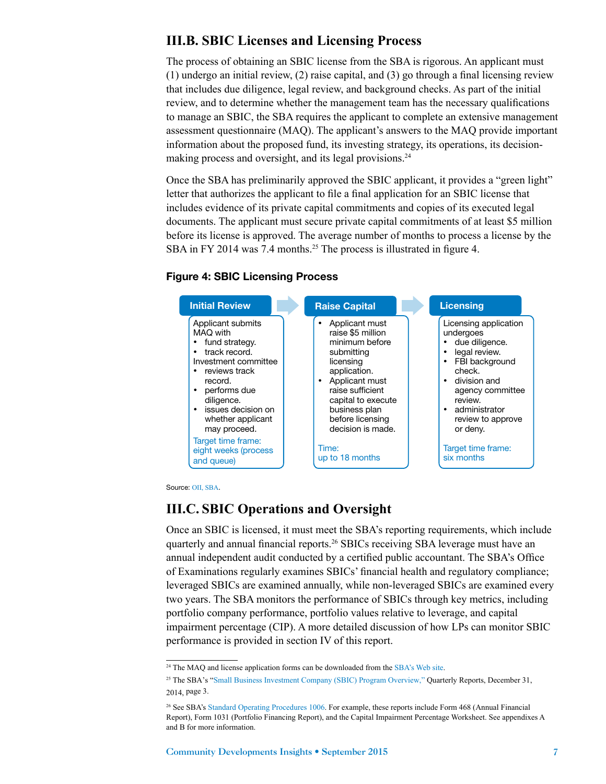# **III.B. SBIC Licenses and Licensing Process**

The process of obtaining an SBIC license from the SBA is rigorous. An applicant must (1) undergo an initial review, (2) raise capital, and (3) go through a final licensing review that includes due diligence, legal review, and background checks. As part of the initial review, and to determine whether the management team has the necessary qualifications to manage an SBIC, the SBA requires the applicant to complete an extensive management assessment questionnaire (MAQ). The applicant's answers to the MAQ provide important information about the proposed fund, its investing strategy, its operations, its decisionmaking process and oversight, and its legal provisions.<sup>24</sup>

Once the SBA has preliminarily approved the SBIC applicant, it provides a "green light" letter that authorizes the applicant to file a final application for an SBIC license that includes evidence of its private capital commitments and copies of its executed legal documents. The applicant must secure private capital commitments of at least \$5 million before its license is approved. The average number of months to process a license by the SBA in FY 2014 was 7.4 months.<sup>25</sup> The process is illustrated in figure 4.

#### Figure 4: SBIC Licensing Process

![](_page_6_Figure_4.jpeg)

Source: [OII, SBA](https://www.sba.gov/category/lender-navigation/sba-loan-programs/sbic-program/sbic-applicants).

## **III.C. SBIC Operations and Oversight**

Once an SBIC is licensed, it must meet the SBA's reporting requirements, which include quarterly and annual financial reports.<sup>26</sup> SBICs receiving SBA leverage must have an annual independent audit conducted by a certified public accountant. The SBA's Office of Examinations regularly examines SBICs' financial health and regulatory compliance; leveraged SBICs are examined annually, while non-leveraged SBICs are examined every two years. The SBA monitors the performance of SBICs through key metrics, including portfolio company performance, portfolio values relative to leverage, and capital impairment percentage (CIP). A more detailed discussion of how LPs can monitor SBIC performance is provided in section IV of this report.

<sup>&</sup>lt;sup>24</sup> The MAQ and license application forms can be downloaded from the [SBA's Web site](https://www.sba.gov/content/application-forms).

<sup>25</sup> The SBA's "[Small Business Investment Company \(SBIC\) Program Overview,"](http://www.sba.gov/content/quarterly-sbic-program-statistics-0) Quarterly Reports, December 31, 2014, page 3.

<sup>26</sup> See SBA's [Standard Operating Procedures 1006](https://www.sba.gov/sites/default/files/sops/serv_tools_sops_1006.pdf). For example, these reports include Form 468 (Annual Financial Report), Form 1031 (Portfolio Financing Report), and the Capital Impairment Percentage Worksheet. See appendixes A and B for more information.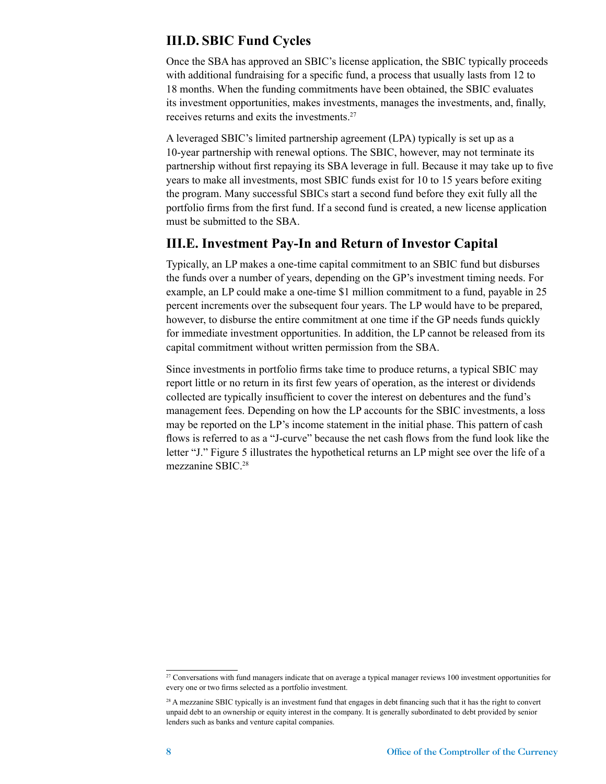## **III.D. SBIC Fund Cycles**

Once the SBA has approved an SBIC's license application, the SBIC typically proceeds with additional fundraising for a specific fund, a process that usually lasts from 12 to 18 months. When the funding commitments have been obtained, the SBIC evaluates its investment opportunities, makes investments, manages the investments, and, finally, receives returns and exits the investments.27

A leveraged SBIC's limited partnership agreement (LPA) typically is set up as a 10-year partnership with renewal options. The SBIC, however, may not terminate its partnership without first repaying its SBA leverage in full. Because it may take up to five years to make all investments, most SBIC funds exist for 10 to 15 years before exiting the program. Many successful SBICs start a second fund before they exit fully all the portfolio firms from the first fund. If a second fund is created, a new license application must be submitted to the SBA.

## **III.E. Investment Pay-In and Return of Investor Capital**

Typically, an LP makes a one-time capital commitment to an SBIC fund but disburses the funds over a number of years, depending on the GP's investment timing needs. For example, an LP could make a one-time \$1 million commitment to a fund, payable in 25 percent increments over the subsequent four years. The LP would have to be prepared, however, to disburse the entire commitment at one time if the GP needs funds quickly for immediate investment opportunities. In addition, the LP cannot be released from its capital commitment without written permission from the SBA.

Since investments in portfolio firms take time to produce returns, a typical SBIC may report little or no return in its first few years of operation, as the interest or dividends collected are typically insufficient to cover the interest on debentures and the fund's management fees. Depending on how the LP accounts for the SBIC investments, a loss may be reported on the LP's income statement in the initial phase. This pattern of cash flows is referred to as a "J-curve" because the net cash flows from the fund look like the letter "J." Figure 5 illustrates the hypothetical returns an LP might see over the life of a mezzanine SBIC.<sup>28</sup>

<sup>&</sup>lt;sup>27</sup> Conversations with fund managers indicate that on average a typical manager reviews 100 investment opportunities for every one or two firms selected as a portfolio investment.

<sup>&</sup>lt;sup>28</sup> A mezzanine SBIC typically is an investment fund that engages in debt financing such that it has the right to convert unpaid debt to an ownership or equity interest in the company. It is generally subordinated to debt provided by senior lenders such as banks and venture capital companies.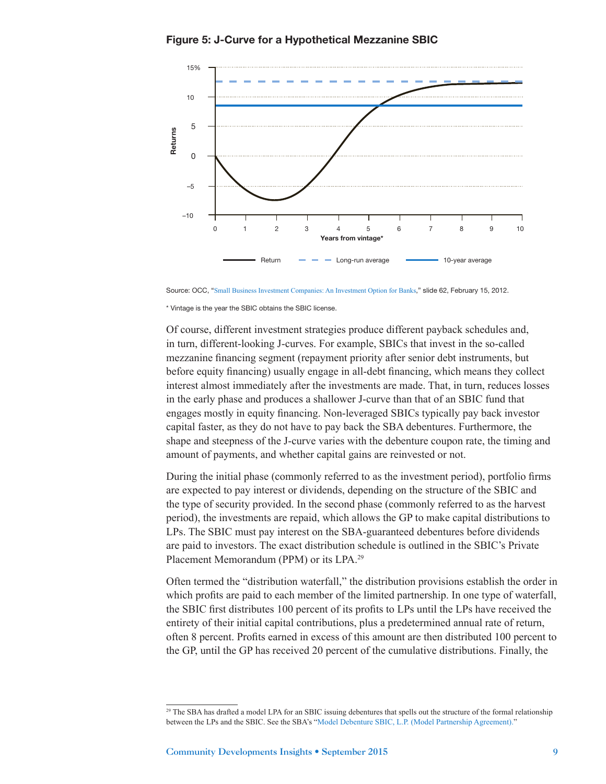Figure 5: J-Curve for a Hypothetical Mezzanine SBIC

![](_page_8_Figure_1.jpeg)

Source: OCC, "[Small Business Investment Companies: An Investment Option for Banks](http://www.occ.gov/about/who-we-are/occ-for-you/bankers/bankers-education/2012-sbic-handout.pdf)," slide 62, February 15, 2012.

\* Vintage is the year the SBIC obtains the SBIC license.

Of course, different investment strategies produce different payback schedules and, in turn, different-looking J-curves. For example, SBICs that invest in the so-called mezzanine financing segment (repayment priority after senior debt instruments, but before equity financing) usually engage in all-debt financing, which means they collect interest almost immediately after the investments are made. That, in turn, reduces losses in the early phase and produces a shallower J-curve than that of an SBIC fund that engages mostly in equity financing. Non-leveraged SBICs typically pay back investor capital faster, as they do not have to pay back the SBA debentures. Furthermore, the shape and steepness of the J-curve varies with the debenture coupon rate, the timing and amount of payments, and whether capital gains are reinvested or not.

During the initial phase (commonly referred to as the investment period), portfolio firms are expected to pay interest or dividends, depending on the structure of the SBIC and the type of security provided. In the second phase (commonly referred to as the harvest period), the investments are repaid, which allows the GP to make capital distributions to LPs. The SBIC must pay interest on the SBA-guaranteed debentures before dividends are paid to investors. The exact distribution schedule is outlined in the SBIC's Private Placement Memorandum (PPM) or its LPA.29

Often termed the "distribution waterfall," the distribution provisions establish the order in which profits are paid to each member of the limited partnership. In one type of waterfall, the SBIC first distributes 100 percent of its profits to LPs until the LPs have received the entirety of their initial capital contributions, plus a predetermined annual rate of return, often 8 percent. Profits earned in excess of this amount are then distributed 100 percent to the GP, until the GP has received 20 percent of the cumulative distributions. Finally, the

<sup>&</sup>lt;sup>29</sup> The SBA has drafted a model LPA for an SBIC issuing debentures that spells out the structure of the formal relationship between the LPs and the SBIC. See the SBA's "[Model Debenture SBIC, L.P. \(Model Partnership Agreement\)](https://www.sba.gov/content/model-debenture-sbic-lp-model-partnership-agreement)."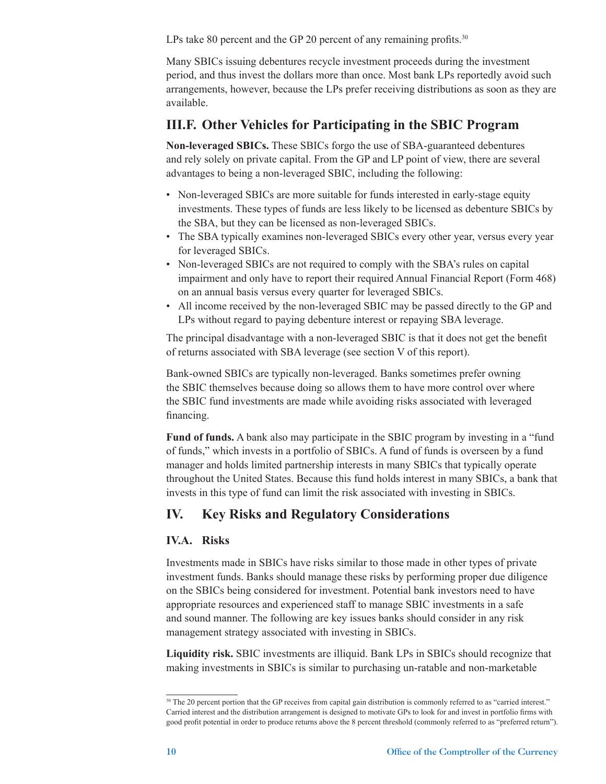LPs take 80 percent and the GP 20 percent of any remaining profits. $30$ 

Many SBICs issuing debentures recycle investment proceeds during the investment period, and thus invest the dollars more than once. Most bank LPs reportedly avoid such arrangements, however, because the LPs prefer receiving distributions as soon as they are available.

## **III.F. Other Vehicles for Participating in the SBIC Program**

**Non-leveraged SBICs.** These SBICs forgo the use of SBA-guaranteed debentures and rely solely on private capital. From the GP and LP point of view, there are several advantages to being a non-leveraged SBIC, including the following:

- Non-leveraged SBICs are more suitable for funds interested in early-stage equity investments. These types of funds are less likely to be licensed as debenture SBICs by the SBA, but they can be licensed as non-leveraged SBICs.
- The SBA typically examines non-leveraged SBICs every other year, versus every year for leveraged SBICs.
- Non-leveraged SBICs are not required to comply with the SBA's rules on capital impairment and only have to report their required Annual Financial Report (Form 468) on an annual basis versus every quarter for leveraged SBICs.
- All income received by the non-leveraged SBIC may be passed directly to the GP and LPs without regard to paying debenture interest or repaying SBA leverage.

The principal disadvantage with a non-leveraged SBIC is that it does not get the benefit of returns associated with SBA leverage (see section V of this report).

Bank-owned SBICs are typically non-leveraged. Banks sometimes prefer owning the SBIC themselves because doing so allows them to have more control over where the SBIC fund investments are made while avoiding risks associated with leveraged financing.

**Fund of funds.** A bank also may participate in the SBIC program by investing in a "fund of funds," which invests in a portfolio of SBICs. A fund of funds is overseen by a fund manager and holds limited partnership interests in many SBICs that typically operate throughout the United States. Because this fund holds interest in many SBICs, a bank that invests in this type of fund can limit the risk associated with investing in SBICs.

# **IV. Key Risks and Regulatory Considerations**

## **IV.A. Risks**

Investments made in SBICs have risks similar to those made in other types of private investment funds. Banks should manage these risks by performing proper due diligence on the SBICs being considered for investment. Potential bank investors need to have appropriate resources and experienced staff to manage SBIC investments in a safe and sound manner. The following are key issues banks should consider in any risk management strategy associated with investing in SBICs.

**Liquidity risk.** SBIC investments are illiquid. Bank LPs in SBICs should recognize that making investments in SBICs is similar to purchasing un-ratable and non-marketable

<sup>&</sup>lt;sup>30</sup> The 20 percent portion that the GP receives from capital gain distribution is commonly referred to as "carried interest." Carried interest and the distribution arrangement is designed to motivate GPs to look for and invest in portfolio firms with good profit potential in order to produce returns above the 8 percent threshold (commonly referred to as "preferred return").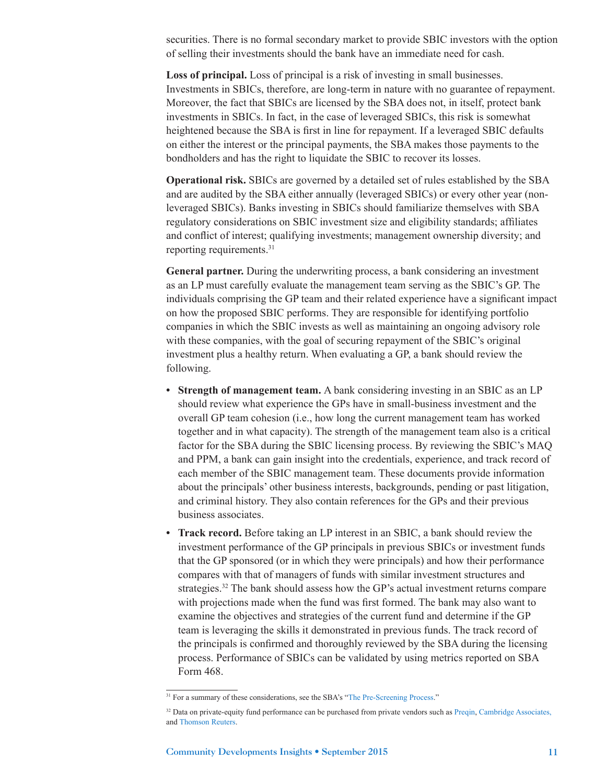securities. There is no formal secondary market to provide SBIC investors with the option of selling their investments should the bank have an immediate need for cash.

**Loss of principal.** Loss of principal is a risk of investing in small businesses. Investments in SBICs, therefore, are long-term in nature with no guarantee of repayment. Moreover, the fact that SBICs are licensed by the SBA does not, in itself, protect bank investments in SBICs. In fact, in the case of leveraged SBICs, this risk is somewhat heightened because the SBA is first in line for repayment. If a leveraged SBIC defaults on either the interest or the principal payments, the SBA makes those payments to the bondholders and has the right to liquidate the SBIC to recover its losses.

**Operational risk.** SBICs are governed by a detailed set of rules established by the SBA and are audited by the SBA either annually (leveraged SBICs) or every other year (nonleveraged SBICs). Banks investing in SBICs should familiarize themselves with SBA regulatory considerations on SBIC investment size and eligibility standards; affiliates and conflict of interest; qualifying investments; management ownership diversity; and reporting requirements.31

**General partner.** During the underwriting process, a bank considering an investment as an LP must carefully evaluate the management team serving as the SBIC's GP. The individuals comprising the GP team and their related experience have a significant impact on how the proposed SBIC performs. They are responsible for identifying portfolio companies in which the SBIC invests as well as maintaining an ongoing advisory role with these companies, with the goal of securing repayment of the SBIC's original investment plus a healthy return. When evaluating a GP, a bank should review the following.

- **• Strength of management team.** A bank considering investing in an SBIC as an LP should review what experience the GPs have in small-business investment and the overall GP team cohesion (i.e., how long the current management team has worked together and in what capacity). The strength of the management team also is a critical factor for the SBA during the SBIC licensing process. By reviewing the SBIC's MAQ and PPM, a bank can gain insight into the credentials, experience, and track record of each member of the SBIC management team. These documents provide information about the principals' other business interests, backgrounds, pending or past litigation, and criminal history. They also contain references for the GPs and their previous business associates.
- **• Track record.** Before taking an LP interest in an SBIC, a bank should review the investment performance of the GP principals in previous SBICs or investment funds that the GP sponsored (or in which they were principals) and how their performance compares with that of managers of funds with similar investment structures and strategies.<sup>32</sup> The bank should assess how the GP's actual investment returns compare with projections made when the fund was first formed. The bank may also want to examine the objectives and strategies of the current fund and determine if the GP team is leveraging the skills it demonstrated in previous funds. The track record of the principals is confirmed and thoroughly reviewed by the SBA during the licensing process. Performance of SBICs can be validated by using metrics reported on SBA Form 468.

<sup>&</sup>lt;sup>31</sup> For a summary of these considerations, see the SBA's "[The Pre-Screening Process](https://www.sba.gov/content/pre-screening-process)."

<sup>&</sup>lt;sup>32</sup> Data on private-equity fund performance can be purchased from private vendors such as [Preqin](https://www.preqin.com/), [Cambridge Associates](http://www.cambridgeassociates.com/)[,](http://,) and [Thomson Reuters](http://thomsonreuters.com/).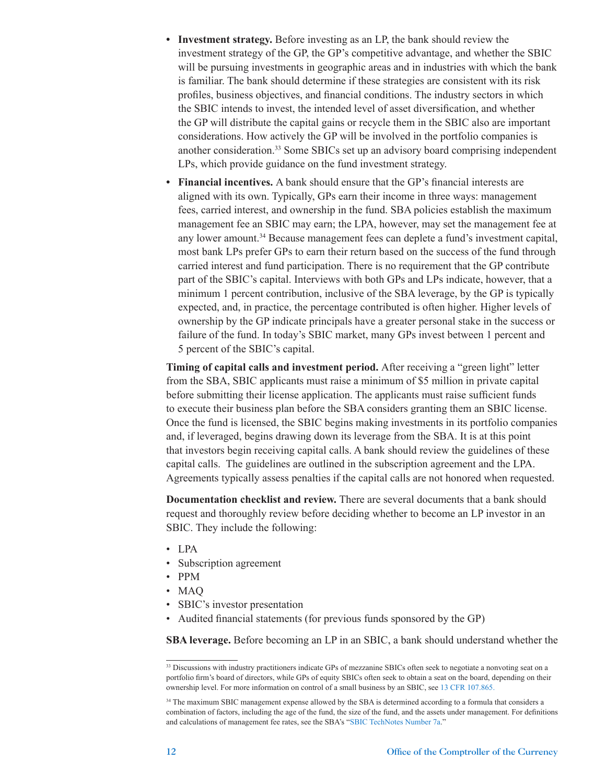- **• Investment strategy.** Before investing as an LP, the bank should review the investment strategy of the GP, the GP's competitive advantage, and whether the SBIC will be pursuing investments in geographic areas and in industries with which the bank is familiar. The bank should determine if these strategies are consistent with its risk profiles, business objectives, and financial conditions. The industry sectors in which the SBIC intends to invest, the intended level of asset diversification, and whether the GP will distribute the capital gains or recycle them in the SBIC also are important considerations. How actively the GP will be involved in the portfolio companies is another consideration.33 Some SBICs set up an advisory board comprising independent LPs, which provide guidance on the fund investment strategy.
- **• Financial incentives.** A bank should ensure that the GP's financial interests are aligned with its own. Typically, GPs earn their income in three ways: management fees, carried interest, and ownership in the fund. SBA policies establish the maximum management fee an SBIC may earn; the LPA, however, may set the management fee at any lower amount.<sup>34</sup> Because management fees can deplete a fund's investment capital, most bank LPs prefer GPs to earn their return based on the success of the fund through carried interest and fund participation. There is no requirement that the GP contribute part of the SBIC's capital. Interviews with both GPs and LPs indicate, however, that a minimum 1 percent contribution, inclusive of the SBA leverage, by the GP is typically expected, and, in practice, the percentage contributed is often higher. Higher levels of ownership by the GP indicate principals have a greater personal stake in the success or failure of the fund. In today's SBIC market, many GPs invest between 1 percent and 5 percent of the SBIC's capital.

**Timing of capital calls and investment period.** After receiving a "green light" letter from the SBA, SBIC applicants must raise a minimum of \$5 million in private capital before submitting their license application. The applicants must raise sufficient funds to execute their business plan before the SBA considers granting them an SBIC license. Once the fund is licensed, the SBIC begins making investments in its portfolio companies and, if leveraged, begins drawing down its leverage from the SBA. It is at this point that investors begin receiving capital calls. A bank should review the guidelines of these capital calls. The guidelines are outlined in the subscription agreement and the LPA. Agreements typically assess penalties if the capital calls are not honored when requested.

**Documentation checklist and review.** There are several documents that a bank should request and thoroughly review before deciding whether to become an LP investor in an SBIC. They include the following:

- LPA
- Subscription agreement
- PPM
- MAQ
- SBIC's investor presentation
- Audited financial statements (for previous funds sponsored by the GP)

**SBA leverage.** Before becoming an LP in an SBIC, a bank should understand whether the

<sup>&</sup>lt;sup>33</sup> Discussions with industry practitioners indicate GPs of mezzanine SBICs often seek to negotiate a nonvoting seat on a portfolio firm's board of directors, while GPs of equity SBICs often seek to obtain a seat on the board, depending on their ownership level. For more information on control of a small business by an SBIC, see [13 CFR 107.865.](http://www.gpo.gov/fdsys/pkg/CFR-2015-title13-vol1/pdf/CFR-2015-title13-vol1-sec107-865.pdf)

<sup>&</sup>lt;sup>34</sup> The maximum SBIC management expense allowed by the SBA is determined according to a formula that considers a combination of factors, including the age of the fund, the size of the fund, and the assets under management. For definitions and calculations of management fee rates, see the SBA's "[SBIC TechNotes Number 7a](https://www.sba.gov/sites/default/files/files/SBICTechnote07arev200804.pdf)."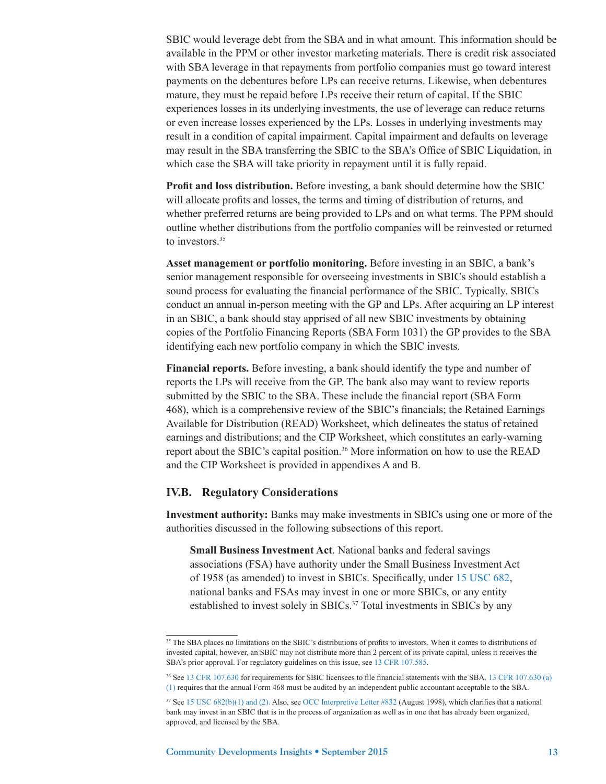SBIC would leverage debt from the SBA and in what amount. This information should be available in the PPM or other investor marketing materials. There is credit risk associated with SBA leverage in that repayments from portfolio companies must go toward interest payments on the debentures before LPs can receive returns. Likewise, when debentures mature, they must be repaid before LPs receive their return of capital. If the SBIC experiences losses in its underlying investments, the use of leverage can reduce returns or even increase losses experienced by the LPs. Losses in underlying investments may result in a condition of capital impairment. Capital impairment and defaults on leverage may result in the SBA transferring the SBIC to the SBA's Office of SBIC Liquidation, in which case the SBA will take priority in repayment until it is fully repaid.

**Profit and loss distribution.** Before investing, a bank should determine how the SBIC will allocate profits and losses, the terms and timing of distribution of returns, and whether preferred returns are being provided to LPs and on what terms. The PPM should outline whether distributions from the portfolio companies will be reinvested or returned to investors.<sup>35</sup>

**Asset management or portfolio monitoring.** Before investing in an SBIC, a bank's senior management responsible for overseeing investments in SBICs should establish a sound process for evaluating the financial performance of the SBIC. Typically, SBICs conduct an annual in-person meeting with the GP and LPs. After acquiring an LP interest in an SBIC, a bank should stay apprised of all new SBIC investments by obtaining copies of the Portfolio Financing Reports (SBA Form 1031) the GP provides to the SBA identifying each new portfolio company in which the SBIC invests.

**Financial reports.** Before investing, a bank should identify the type and number of reports the LPs will receive from the GP. The bank also may want to review reports submitted by the SBIC to the SBA. These include the financial report (SBA Form 468), which is a comprehensive review of the SBIC's financials; the Retained Earnings Available for Distribution (READ) Worksheet, which delineates the status of retained earnings and distributions; and the CIP Worksheet, which constitutes an early-warning report about the SBIC's capital position.36 More information on how to use the READ and the CIP Worksheet is provided in appendixes A and B.

#### **IV.B. Regulatory Considerations**

**Investment authority:** Banks may make investments in SBICs using one or more of the authorities discussed in the following subsections of this report.

**Small Business Investment Act**. National banks and federal savings associations (FSA) have authority under the Small Business Investment Act of 1958 (as amended) to invest in SBICs. Specifically, under [15 USC 682](http://www.gpo.gov/fdsys/pkg/USCODE-2010-title15/pdf/USCODE-2010-title15-chap14B-subchapIII-partA-sec682.pdf), national banks and FSAs may invest in one or more SBICs, or any entity established to invest solely in SBICs.<sup>37</sup> Total investments in SBICs by any

<sup>&</sup>lt;sup>35</sup> The SBA places no limitations on the SBIC's distributions of profits to investors. When it comes to distributions of invested capital, however, an SBIC may not distribute more than 2 percent of its private capital, unless it receives the SBA's prior approval. For regulatory guidelines on this issue, see [13 CFR 107.585](http://www.gpo.gov/fdsys/pkg/CFR-2012-title13-vol1/pdf/CFR-2012-title13-vol1-sec107-585.pdf).

<sup>36</sup> See [13 CFR 107.630](http://www.gpo.gov/fdsys/pkg/CFR-2014-title13-vol1/pdf/CFR-2014-title13-vol1-sec107-630.pdf) for requirements for SBIC licensees to file financial statements with the SBA. [13 CFR 107.630 \(a\)](http://www.gpo.gov/fdsys/pkg/CFR-2014-title13-vol1/pdf/CFR-2014-title13-vol1-sec107-630.pdf) [\(1\)](http://www.gpo.gov/fdsys/pkg/CFR-2014-title13-vol1/pdf/CFR-2014-title13-vol1-sec107-630.pdf) requires that the annual Form 468 must be audited by an independent public accountant acceptable to the SBA.

<sup>37</sup> See [15 USC 682\(b\)\(1\) and \(2\).](http://www.gpo.gov/fdsys/pkg/USCODE-2010-title15/pdf/USCODE-2010-title15-chap14B-subchapIII-partA-sec682.pdf) Also, see [OCC Interpretive Letter #832](http://www.occ.gov/static/interpretations-and-precedents/aug98/int832.pdf) (August 1998), which clarifies that a national bank may invest in an SBIC that is in the process of organization as well as in one that has already been organized, approved, and licensed by the SBA.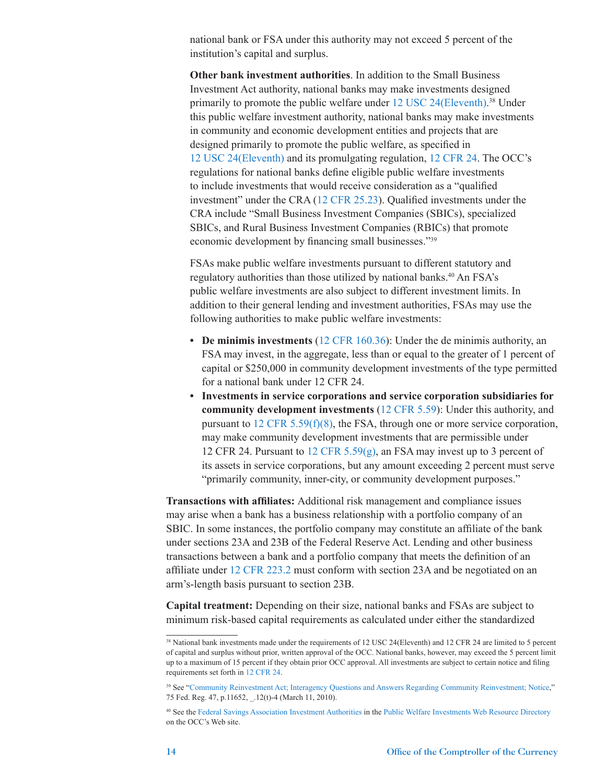national bank or FSA under this authority may not exceed 5 percent of the institution's capital and surplus.

**Other bank investment authorities**. In addition to the Small Business Investment Act authority, national banks may make investments designed primarily to promote the public welfare under [12 USC 24\(Eleventh\)](http://www.occ.gov/news-issuances/federal-register/12cfr24.pdf). 38 Under this public welfare investment authority, national banks may make investments in community and economic development entities and projects that are designed primarily to promote the public welfare, as specified in [12 USC 24\(Eleventh\)](http://www.occ.gov/news-issuances/federal-register/12cfr24.pdf) and its promulgating regulation, [12 CFR 24](file:///C:\Users\lily.dow\AppData\Local\Microsoft\Windows\Temporary%20Internet%20Files\Content.Outlook\KHT8HEPX\12%20CFR%2024). The OCC's regulations for national banks define eligible public welfare investments to include investments that would receive consideration as a "qualified investment" under the CRA ([12 CFR 25.23](http://www.gpo.gov/fdsys/pkg/CFR-2011-title12-vol1/pdf/CFR-2011-title12-vol1-sec25-23.pdf)). Qualified investments under the CRA include "Small Business Investment Companies (SBICs), specialized SBICs, and Rural Business Investment Companies (RBICs) that promote economic development by financing small businesses."<sup>39</sup>

FSAs make public welfare investments pursuant to different statutory and regulatory authorities than those utilized by national banks.<sup>40</sup> An FSA's public welfare investments are also subject to different investment limits. In addition to their general lending and investment authorities, FSAs may use the following authorities to make public welfare investments:

- **• De minimis investments** ([12 CFR 160.36](http://www.gpo.gov/fdsys/pkg/CFR-2014-title12-vol1/pdf/CFR-2014-title12-vol1-sec160-36.pdf)): Under the de minimis authority, an FSA may invest, in the aggregate, less than or equal to the greater of 1 percent of capital or \$250,000 in community development investments of the type permitted for a national bank under 12 CFR 24.
- **• Investments in service corporations and service corporation subsidiaries for community development investments** ([12 CFR 5.59](http://www.ecfr.gov/cgi-bin/text-idx?SID=b1cbbe0d7d8194e47523927417a42a03&mc=true&node=se12.1.5_159&rgn=div8)): Under this authority, and pursuant to 12 CFR [5.59\(f\)\(8\)](http://www.ecfr.gov/cgi-bin/text-idx?SID=b1cbbe0d7d8194e47523927417a42a03&mc=true&node=se12.1.5_159&rgn=div8), the FSA, through one or more service corporation, may make community development investments that are permissible under 12 CFR 24. Pursuant to 12 CFR 5.59 $(g)$ , an FSA may invest up to 3 percent of its assets in service corporations, but any amount exceeding 2 percent must serve "primarily community, inner-city, or community development purposes."

**Transactions with affiliates:** Additional risk management and compliance issues may arise when a bank has a business relationship with a portfolio company of an SBIC. In some instances, the portfolio company may constitute an affiliate of the bank under sections 23A and 23B of the Federal Reserve Act. Lending and other business transactions between a bank and a portfolio company that meets the definition of an affiliate under [12 CFR 223.2](http://www.gpo.gov/fdsys/pkg/CFR-2012-title12-vol3/pdf/CFR-2012-title12-vol3-sec223-2.pdf) must conform with section 23A and be negotiated on an arm's-length basis pursuant to section 23B.

**Capital treatment:** Depending on their size, national banks and FSAs are subject to minimum risk-based capital requirements as calculated under either the standardized

<sup>&</sup>lt;sup>38</sup> National bank investments made under the requirements of 12 USC 24(Eleventh) and 12 CFR 24 are limited to 5 percent of capital and surplus without prior, written approval of the OCC. National banks, however, may exceed the 5 percent limit up to a maximum of 15 percent if they obtain prior OCC approval. All investments are subject to certain notice and filing requirements set forth in [12 CFR 24](http://www.gpo.gov/fdsys/pkg/CFR-2011-title12-vol1/pdf/CFR-2011-title12-vol1-part24.pdf).

<sup>&</sup>lt;sup>39</sup> See "[Community Reinvestment Act; Interagency Questions and Answers Regarding Community Reinvestment; Notice](http://www.ffiec.gov/cra/pdf/2010-4903.pdf)," 75 Fed. Reg. 47, p.11652, \_.12(t)-4 (March 11, 2010).

<sup>40</sup> See the [Federal Savings Association Investment Authorities](http://www.occ.gov/topics/community-affairs/resource-directories/public-welfare-investments/federal-savings-association-investment-authorities.html) in the [Public Welfare Investments Web Resource Directory](http://www.occ.gov/topics/community-affairs/resource-directories/public-welfare-investments/index-public-welfare-investments.html) on the OCC's Web site.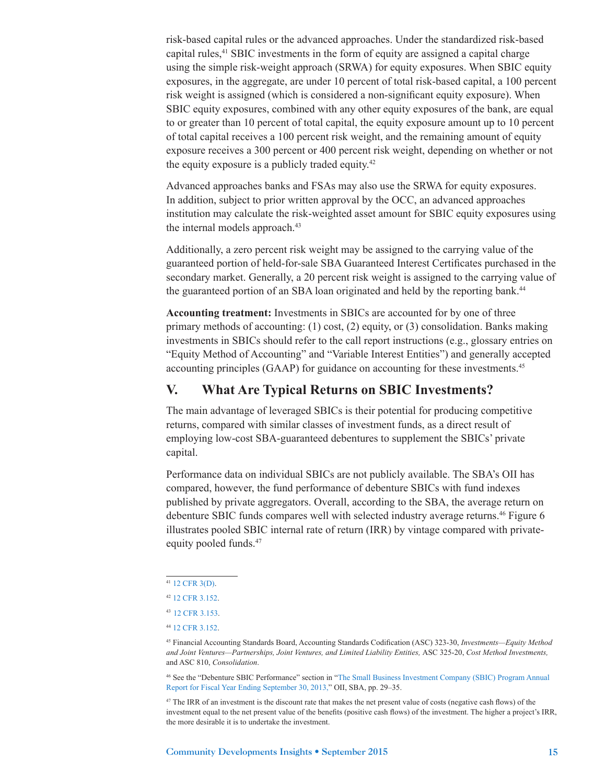risk-based capital rules or the advanced approaches. Under the standardized risk-based capital rules,<sup>41</sup> SBIC investments in the form of equity are assigned a capital charge using the simple risk-weight approach (SRWA) for equity exposures. When SBIC equity exposures, in the aggregate, are under 10 percent of total risk-based capital, a 100 percent risk weight is assigned (which is considered a non-significant equity exposure). When SBIC equity exposures, combined with any other equity exposures of the bank, are equal to or greater than 10 percent of total capital, the equity exposure amount up to 10 percent of total capital receives a 100 percent risk weight, and the remaining amount of equity exposure receives a 300 percent or 400 percent risk weight, depending on whether or not the equity exposure is a publicly traded equity.42

Advanced approaches banks and FSAs may also use the SRWA for equity exposures. In addition, subject to prior written approval by the OCC, an advanced approaches institution may calculate the risk-weighted asset amount for SBIC equity exposures using the internal models approach.<sup>43</sup>

Additionally, a zero percent risk weight may be assigned to the carrying value of the guaranteed portion of held-for-sale SBA Guaranteed Interest Certificates purchased in the secondary market. Generally, a 20 percent risk weight is assigned to the carrying value of the guaranteed portion of an SBA loan originated and held by the reporting bank.<sup>44</sup>

**Accounting treatment:** Investments in SBICs are accounted for by one of three primary methods of accounting: (1) cost, (2) equity, or (3) consolidation. Banks making investments in SBICs should refer to the call report instructions (e.g., glossary entries on "Equity Method of Accounting" and "Variable Interest Entities") and generally accepted accounting principles (GAAP) for guidance on accounting for these investments.45

## **V. What Are Typical Returns on SBIC Investments?**

The main advantage of leveraged SBICs is their potential for producing competitive returns, compared with similar classes of investment funds, as a direct result of employing low-cost SBA-guaranteed debentures to supplement the SBICs' private capital.

Performance data on individual SBICs are not publicly available. The SBA's OII has compared, however, the fund performance of debenture SBICs with fund indexes published by private aggregators. Overall, according to the SBA, the average return on debenture SBIC funds compares well with selected industry average returns.46 Figure 6 illustrates pooled SBIC internal rate of return (IRR) by vintage compared with privateequity pooled funds.<sup>47</sup>

46 See the "Debenture SBIC Performance" section in ["The Small Business Investment Company \(SBIC\) Program Annual](http://www.sba.gov/content/sbic-program-annual-report-2013)  [Report for Fiscal Year Ending September 30, 2013](http://www.sba.gov/content/sbic-program-annual-report-2013)," OII, SBA, pp. 29–35.

<sup>47</sup> The IRR of an investment is the discount rate that makes the net present value of costs (negative cash flows) of the investment equal to the net present value of the benefits (positive cash flows) of the investment. The higher a project's IRR, the more desirable it is to undertake the investment.

<sup>41</sup> [12 CFR 3\(D\)](http://www.ecfr.gov/cgi-bin/text-idx?SID=23783813e5f8b093de6844246ed9dd9f&mc=true&node=sp12.1.3.d&rgn=div6).

<sup>42</sup> [12 CFR 3.152](http://www.gpo.gov/fdsys/pkg/CFR-2014-title12-vol1/pdf/CFR-2014-title12-vol1-sec3-152.pdf).

<sup>43</sup> [12 CFR 3.153](http://www.gpo.gov/fdsys/pkg/CFR-2014-title12-vol1/pdf/CFR-2014-title12-vol1-sec3-153.pdf).

<sup>44</sup> [12 CFR 3.152](http://www.gpo.gov/fdsys/pkg/CFR-2014-title12-vol1/pdf/CFR-2014-title12-vol1-sec3-152.pdf).

<sup>45</sup> Financial Accounting Standards Board, Accounting Standards Codification (ASC) 323-30, *Investments—Equity Method and Joint Ventures—Partnerships, Joint Ventures, and Limited Liability Entities,* ASC 325-20, *Cost Method Investments,*  and ASC 810, *Consolidation*.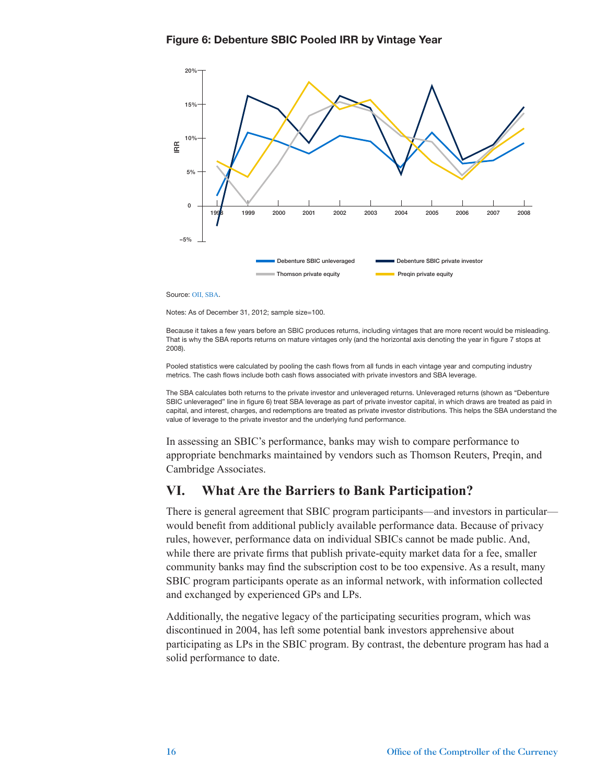![](_page_15_Figure_1.jpeg)

Source: [OII, SBA](https://www.sba.gov/sites/default/files/files/Final_SBIC_Annual_Report_FY_2013_signed_06092014.pdf).

Notes: As of December 31, 2012; sample size=100.

Because it takes a few years before an SBIC produces returns, including vintages that are more recent would be misleading. That is why the SBA reports returns on mature vintages only (and the horizontal axis denoting the year in figure 7 stops at 2008).

Pooled statistics were calculated by pooling the cash flows from all funds in each vintage year and computing industry metrics. The cash flows include both cash flows associated with private investors and SBA leverage.

The SBA calculates both returns to the private investor and unleveraged returns. Unleveraged returns (shown as "Debenture SBIC unleveraged" line in figure 6) treat SBA leverage as part of private investor capital, in which draws are treated as paid in capital, and interest, charges, and redemptions are treated as private investor distributions. This helps the SBA understand the value of leverage to the private investor and the underlying fund performance.

In assessing an SBIC's performance, banks may wish to compare performance to appropriate benchmarks maintained by vendors such as Thomson Reuters, Preqin, and Cambridge Associates.

## **VI. What Are the Barriers to Bank Participation?**

There is general agreement that SBIC program participants—and investors in particular would benefit from additional publicly available performance data. Because of privacy rules, however, performance data on individual SBICs cannot be made public. And, while there are private firms that publish private-equity market data for a fee, smaller community banks may find the subscription cost to be too expensive. As a result, many SBIC program participants operate as an informal network, with information collected and exchanged by experienced GPs and LPs.

Additionally, the negative legacy of the participating securities program, which was discontinued in 2004, has left some potential bank investors apprehensive about participating as LPs in the SBIC program. By contrast, the debenture program has had a solid performance to date.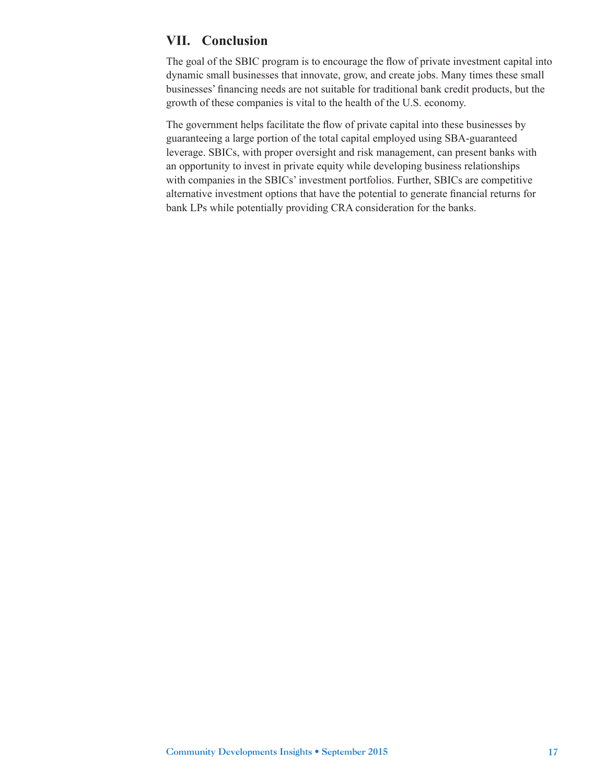## **VII. Conclusion**

The goal of the SBIC program is to encourage the flow of private investment capital into dynamic small businesses that innovate, grow, and create jobs. Many times these small businesses' financing needs are not suitable for traditional bank credit products, but the growth of these companies is vital to the health of the U.S. economy.

The government helps facilitate the flow of private capital into these businesses by guaranteeing a large portion of the total capital employed using SBA-guaranteed leverage. SBICs, with proper oversight and risk management, can present banks with an opportunity to invest in private equity while developing business relationships with companies in the SBICs' investment portfolios. Further, SBICs are competitive alternative investment options that have the potential to generate financial returns for bank LPs while potentially providing CRA consideration for the banks.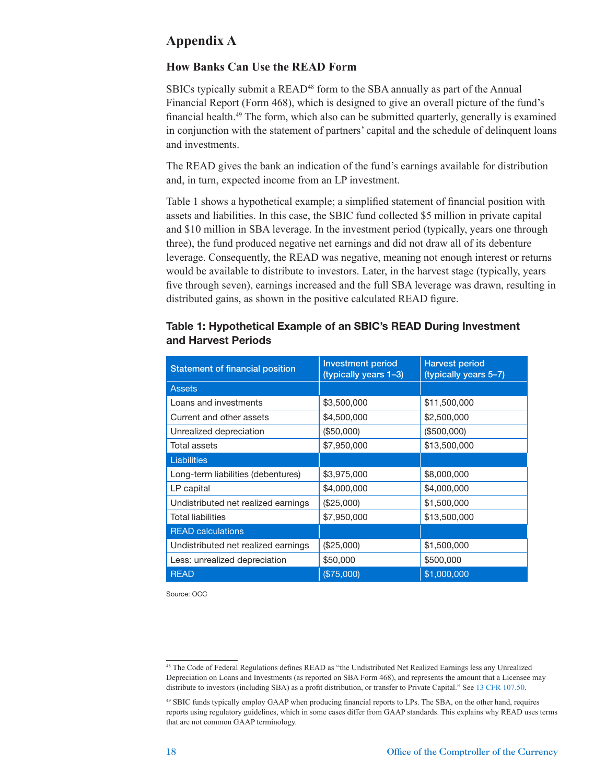# **Appendix A**

#### **How Banks Can Use the READ Form**

SBICs typically submit a READ<sup>48</sup> form to the SBA annually as part of the Annual Financial Report (Form 468), which is designed to give an overall picture of the fund's financial health.49 The form, which also can be submitted quarterly, generally is examined in conjunction with the statement of partners' capital and the schedule of delinquent loans and investments.

The READ gives the bank an indication of the fund's earnings available for distribution and, in turn, expected income from an LP investment.

Table 1 shows a hypothetical example; a simplified statement of financial position with assets and liabilities. In this case, the SBIC fund collected \$5 million in private capital and \$10 million in SBA leverage. In the investment period (typically, years one through three), the fund produced negative net earnings and did not draw all of its debenture leverage. Consequently, the READ was negative, meaning not enough interest or returns would be available to distribute to investors. Later, in the harvest stage (typically, years five through seven), earnings increased and the full SBA leverage was drawn, resulting in distributed gains, as shown in the positive calculated READ figure.

| <b>Statement of financial position</b> | <b>Investment period</b><br>(typically years 1-3) | <b>Harvest period</b><br>(typically years 5-7) |  |  |
|----------------------------------------|---------------------------------------------------|------------------------------------------------|--|--|
| <b>Assets</b>                          |                                                   |                                                |  |  |
| Loans and investments                  | \$3,500,000                                       | \$11,500,000                                   |  |  |
| Current and other assets               | \$4,500,000                                       | \$2,500,000                                    |  |  |
| Unrealized depreciation                | (\$50,000)                                        | (\$500,000)                                    |  |  |
| Total assets                           | \$7,950,000                                       | \$13,500,000                                   |  |  |
| <b>Liabilities</b>                     |                                                   |                                                |  |  |
| Long-term liabilities (debentures)     | \$3,975,000                                       | \$8,000,000                                    |  |  |
| LP capital                             | \$4,000,000                                       | \$4,000,000                                    |  |  |
| Undistributed net realized earnings    | (\$25,000)                                        | \$1,500,000                                    |  |  |
| <b>Total liabilities</b>               | \$7,950,000                                       | \$13,500,000                                   |  |  |
| <b>READ calculations</b>               |                                                   |                                                |  |  |
| Undistributed net realized earnings    | (\$25,000)                                        | \$1,500,000                                    |  |  |
| Less: unrealized depreciation          | \$50,000                                          | \$500,000                                      |  |  |
| <b>READ</b>                            | (\$75,000)                                        | \$1,000,000                                    |  |  |

#### Table 1: Hypothetical Example of an SBIC's READ During Investment and Harvest Periods

Source: OCC

<sup>48</sup> The Code of Federal Regulations defines READ as "the Undistributed Net Realized Earnings less any Unrealized Depreciation on Loans and Investments (as reported on SBA Form 468), and represents the amount that a Licensee may distribute to investors (including SBA) as a profit distribution, or transfer to Private Capital." See [13 CFR 107.50](http://www.gpo.gov/fdsys/granule/CFR-2012-title13-vol1/CFR-2012-title13-vol1-sec107-50/content-detail.html).

<sup>49</sup> SBIC funds typically employ GAAP when producing financial reports to LPs. The SBA, on the other hand, requires reports using regulatory guidelines, which in some cases differ from GAAP standards. This explains why READ uses terms that are not common GAAP terminology.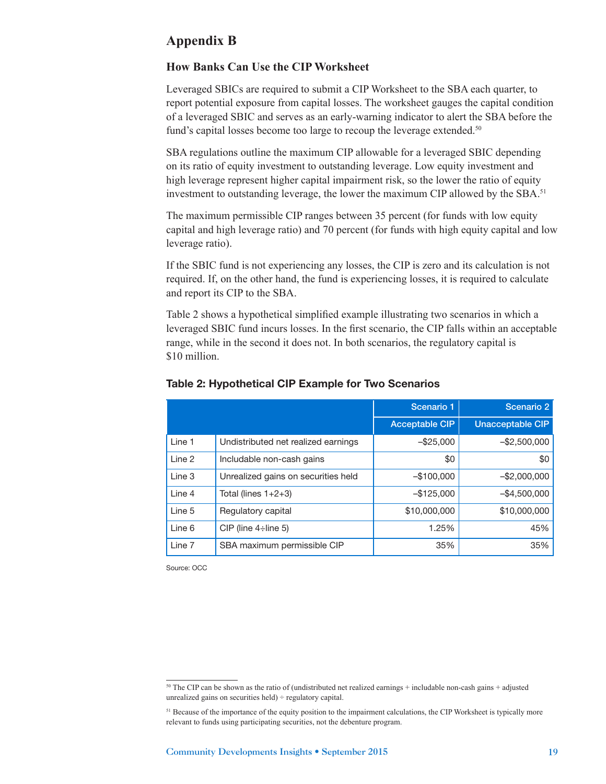## **Appendix B**

#### **How Banks Can Use the CIP Worksheet**

Leveraged SBICs are required to submit a CIP Worksheet to the SBA each quarter, to report potential exposure from capital losses. The worksheet gauges the capital condition of a leveraged SBIC and serves as an early-warning indicator to alert the SBA before the fund's capital losses become too large to recoup the leverage extended.<sup>50</sup>

SBA regulations outline the maximum CIP allowable for a leveraged SBIC depending on its ratio of equity investment to outstanding leverage. Low equity investment and high leverage represent higher capital impairment risk, so the lower the ratio of equity investment to outstanding leverage, the lower the maximum CIP allowed by the SBA.<sup>51</sup>

The maximum permissible CIP ranges between 35 percent (for funds with low equity capital and high leverage ratio) and 70 percent (for funds with high equity capital and low leverage ratio).

If the SBIC fund is not experiencing any losses, the CIP is zero and its calculation is not required. If, on the other hand, the fund is experiencing losses, it is required to calculate and report its CIP to the SBA.

Table 2 shows a hypothetical simplified example illustrating two scenarios in which a leveraged SBIC fund incurs losses. In the first scenario, the CIP falls within an acceptable range, while in the second it does not. In both scenarios, the regulatory capital is \$10 million.

|        |                                     | Scenario 1            | Scenario 2              |
|--------|-------------------------------------|-----------------------|-------------------------|
|        |                                     | <b>Acceptable CIP</b> | <b>Unacceptable CIP</b> |
| Line 1 | Undistributed net realized earnings | $-$ \$25,000          | $-$ \$2,500,000         |
| Line 2 | Includable non-cash gains           | \$0                   | \$0                     |
| Line 3 | Unrealized gains on securities held | $-$100,000$           | $-$ \$2,000,000         |
| Line 4 | Total (lines $1+2+3$ )              | $-$ \$125,000         | $-$ \$4,500,000         |
| Line 5 | Regulatory capital                  | \$10,000,000          | \$10,000,000            |
| Line 6 | CIP (line $4\div$ line 5)           | 1.25%                 | 45%                     |
| Line 7 | SBA maximum permissible CIP         | 35%                   | 35%                     |

#### Table 2: Hypothetical CIP Example for Two Scenarios

Source: OCC

<sup>50</sup> The CIP can be shown as the ratio of (undistributed net realized earnings + includable non-cash gains + adjusted unrealized gains on securities held) ÷ regulatory capital.

<sup>51</sup> Because of the importance of the equity position to the impairment calculations, the CIP Worksheet is typically more relevant to funds using participating securities, not the debenture program.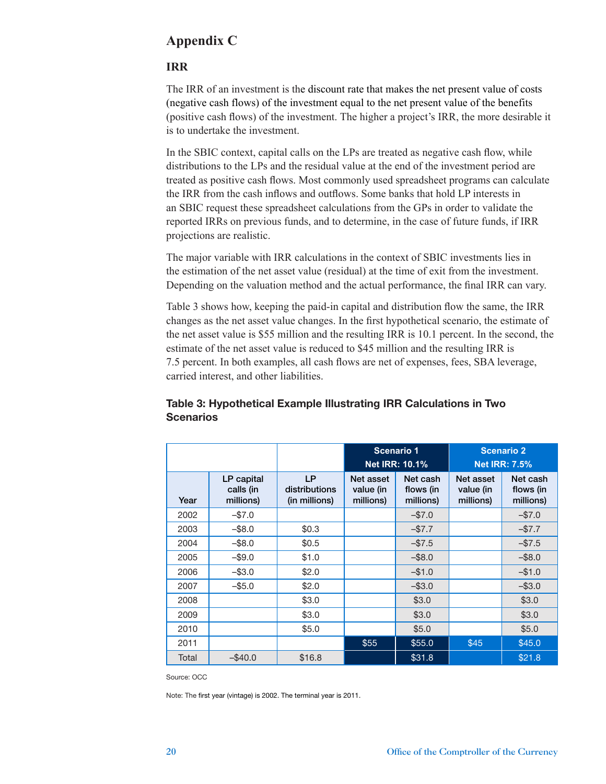# **Appendix C**

#### **IRR**

The IRR of an investment is the discount rate that makes the net present value of costs (negative cash flows) of the investment equal to the net present value of the benefits (positive cash flows) of the investment. The higher a project's IRR, the more desirable it is to undertake the investment.

In the SBIC context, capital calls on the LPs are treated as negative cash flow, while distributions to the LPs and the residual value at the end of the investment period are treated as positive cash flows. Most commonly used spreadsheet programs can calculate the IRR from the cash inflows and outflows. Some banks that hold LP interests in an SBIC request these spreadsheet calculations from the GPs in order to validate the reported IRRs on previous funds, and to determine, in the case of future funds, if IRR projections are realistic.

The major variable with IRR calculations in the context of SBIC investments lies in the estimation of the net asset value (residual) at the time of exit from the investment. Depending on the valuation method and the actual performance, the final IRR can vary.

Table 3 shows how, keeping the paid-in capital and distribution flow the same, the IRR changes as the net asset value changes. In the first hypothetical scenario, the estimate of the net asset value is \$55 million and the resulting IRR is 10.1 percent. In the second, the estimate of the net asset value is reduced to \$45 million and the resulting IRR is 7.5 percent. In both examples, all cash flows are net of expenses, fees, SBA leverage, carried interest, and other liabilities.

|       |                                      |                                             |                                     | Scenario 1<br><b>Net IRR: 10.1%</b> | <b>Scenario 2</b><br><b>Net IRR: 7.5%</b> |                                    |  |
|-------|--------------------------------------|---------------------------------------------|-------------------------------------|-------------------------------------|-------------------------------------------|------------------------------------|--|
| Year  | LP capital<br>calls (in<br>millions) | <b>LP</b><br>distributions<br>(in millions) | Net asset<br>value (in<br>millions) | Net cash<br>flows (in<br>millions)  | Net asset<br>value (in<br>millions)       | Net cash<br>flows (in<br>millions) |  |
| 2002  | $-$ \$7.0                            |                                             |                                     | $-$7.0$                             |                                           | $-$7.0$                            |  |
| 2003  | $-$ \$8.0                            | \$0.3                                       |                                     | $-$ \$7.7                           |                                           | $-$ \$7.7                          |  |
| 2004  | $-$ \$8.0                            | \$0.5                                       |                                     | $-$ \$7.5                           |                                           | $-$ \$7.5                          |  |
| 2005  | $-$ \$9.0                            | \$1.0                                       |                                     | $-$ \$8.0                           |                                           | $-$ \$8.0                          |  |
| 2006  | $-$ \$3.0                            | \$2.0                                       |                                     | $-$1.0$                             |                                           | $-$1.0$                            |  |
| 2007  | $-$ \$5.0                            | \$2.0                                       |                                     | $-$ \$3.0                           |                                           | $-$ \$3.0                          |  |
| 2008  |                                      | \$3.0                                       |                                     | \$3.0                               |                                           | \$3.0                              |  |
| 2009  |                                      | \$3.0                                       |                                     | \$3.0                               |                                           | \$3.0                              |  |
| 2010  |                                      | \$5.0                                       |                                     | \$5.0                               |                                           | \$5.0                              |  |
| 2011  |                                      |                                             | \$55                                | \$55.0                              | \$45                                      | \$45.0                             |  |
| Total | $-$ \$40.0                           | \$16.8                                      |                                     | \$31.8                              |                                           | \$21.8                             |  |

### Table 3: Hypothetical Example Illustrating IRR Calculations in Two **Scenarios**

Source: OCC

Note: The first year (vintage) is 2002. The terminal year is 2011.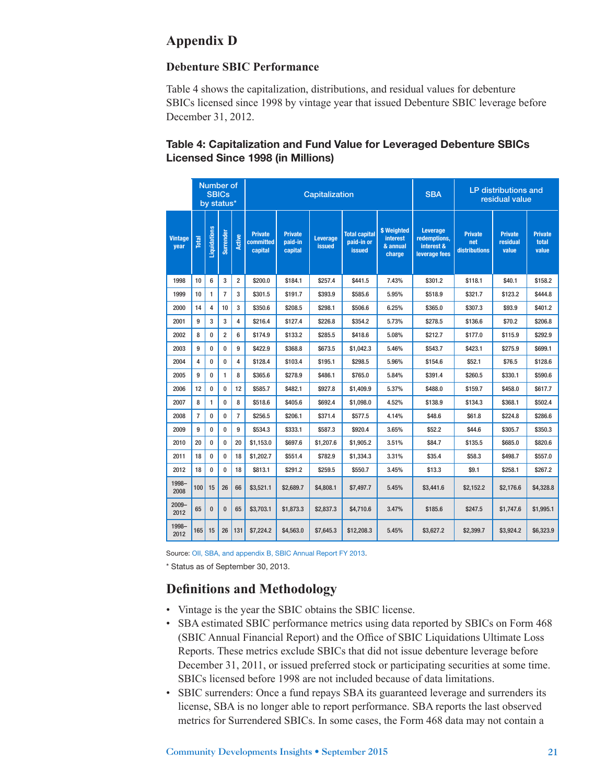# **Appendix D**

### **Debenture SBIC Performance**

Table 4 shows the capitalization, distributions, and residual values for debenture SBICs licensed since 1998 by vintage year that issued Debenture SBIC leverage before December 31, 2012.

## Table 4: Capitalization and Fund Value for Leveraged Debenture SBICs Licensed Since 1998 (in Millions)

|                        | Number of<br><b>SBICs</b><br>by status* |              |                |                         | Capitalization                         |                                      |                           |                                                     | <b>SBA</b>                                           | <b>LP distributions and</b><br>residual value           |                                        |                                     |                                  |
|------------------------|-----------------------------------------|--------------|----------------|-------------------------|----------------------------------------|--------------------------------------|---------------------------|-----------------------------------------------------|------------------------------------------------------|---------------------------------------------------------|----------------------------------------|-------------------------------------|----------------------------------|
| <b>Vintage</b><br>year | Total                                   | Liquidations | Surrender      | <b>Active</b>           | <b>Private</b><br>committed<br>capital | <b>Private</b><br>paid-in<br>capital | Leverage<br><b>issued</b> | <b>Total capital</b><br>paid-in or<br><b>issued</b> | <b>\$ Weighted</b><br>interest<br>& annual<br>charge | Leverage<br>redemptions,<br>interest &<br>leverage fees | <b>Private</b><br>net<br>distributions | <b>Private</b><br>residual<br>value | <b>Private</b><br>total<br>value |
| 1998                   | 10                                      | 6            | 3              | $\overline{\mathbf{c}}$ | \$200.0                                | \$184.1                              | \$257.4                   | \$441.5                                             | 7.43%                                                | \$301.2                                                 | \$118.1                                | \$40.1                              | \$158.2                          |
| 1999                   | 10                                      | 1            | $\overline{7}$ | 3                       | \$301.5                                | \$191.7                              | \$393.9                   | \$585.6                                             | 5.95%                                                | \$518.9                                                 | \$321.7                                | \$123.2                             | \$444.8                          |
| 2000                   | 14                                      | 4            | 10             | 3                       | \$350.6                                | \$208.5                              | \$298.1                   | \$506.6                                             | 6.25%                                                | \$365.0                                                 | \$307.3                                | \$93.9                              | \$401.2                          |
| 2001                   | 9                                       | 3            | 3              | 4                       | \$216.4                                | \$127.4                              | \$226.8                   | \$354.2                                             | 5.73%                                                | \$278.5                                                 | \$136.6                                | \$70.2                              | \$206.8                          |
| 2002                   | 8                                       | $\bf{0}$     | $\overline{2}$ | 6                       | \$174.9                                | \$133.2                              | \$285.5                   | \$418.6                                             | 5.08%                                                | \$212.7                                                 | \$177.0                                | \$115.9                             | \$292.9                          |
| 2003                   | 9                                       | $\bf{0}$     | $\bf{0}$       | 9                       | \$422.9                                | \$368.8                              | \$673.5                   | \$1,042.3                                           | 5.46%                                                | \$543.7                                                 | \$423.1                                | \$275.9                             | \$699.1                          |
| 2004                   | 4                                       | 0            | 0              | 4                       | \$128.4                                | \$103.4                              | \$195.1                   | \$298.5                                             | 5.96%                                                | \$154.6                                                 | \$52.1                                 | \$76.5                              | \$128.6                          |
| 2005                   | 9                                       | $\bf{0}$     | 1              | 8                       | \$365.6                                | \$278.9                              | \$486.1                   | \$765.0                                             | 5.84%                                                | \$391.4                                                 | \$260.5                                | \$330.1                             | \$590.6                          |
| 2006                   | 12                                      | $\bf{0}$     | $\bf{0}$       | 12                      | \$585.7                                | \$482.1                              | \$927.8                   | \$1,409.9                                           | 5.37%                                                | \$488.0                                                 | \$159.7                                | \$458.0                             | \$617.7                          |
| 2007                   | 8                                       | $\mathbf{1}$ | $\bf{0}$       | 8                       | \$518.6                                | \$405.6                              | \$692.4                   | \$1,098.0                                           | 4.52%                                                | \$138.9                                                 | \$134.3                                | \$368.1                             | \$502.4                          |
| 2008                   | $\overline{7}$                          | $\bf{0}$     | $\bf{0}$       | $\overline{7}$          | \$256.5                                | \$206.1                              | \$371.4                   | \$577.5                                             | 4.14%                                                | \$48.6                                                  | \$61.8                                 | \$224.8                             | \$286.6                          |
| 2009                   | 9                                       | $\bf{0}$     | $\bf{0}$       | 9                       | \$534.3                                | \$333.1                              | \$587.3                   | \$920.4                                             | 3.65%                                                | \$52.2                                                  | \$44.6                                 | \$305.7                             | \$350.3                          |
| 2010                   | 20                                      | $\bf{0}$     | $\bf{0}$       | 20                      | \$1,153.0                              | \$697.6                              | \$1,207.6                 | \$1,905.2                                           | 3.51%                                                | \$84.7                                                  | \$135.5                                | \$685.0                             | \$820.6                          |
| 2011                   | 18                                      | $\bf{0}$     | $\bf{0}$       | 18                      | \$1,202.7                              | \$551.4                              | \$782.9                   | \$1,334.3                                           | 3.31%                                                | \$35.4                                                  | \$58.3                                 | \$498.7                             | \$557.0                          |
| 2012                   | 18                                      | $\bf{0}$     | $\bf{0}$       | 18                      | \$813.1                                | \$291.2                              | \$259.5                   | \$550.7                                             | 3.45%                                                | \$13.3                                                  | \$9.1                                  | \$258.1                             | \$267.2                          |
| 1998-<br>2008          | 100                                     | 15           | 26             | 66                      | \$3,521.1                              | \$2,689.7                            | \$4,808.1                 | \$7,497.7                                           | 5.45%                                                | \$3,441.6                                               | \$2,152.2                              | \$2,176.6                           | \$4,328.8                        |
| $2009 -$<br>2012       | 65                                      | $\bf{0}$     | $\bf{0}$       | 65                      | \$3,703.1                              | \$1,873.3                            | \$2,837.3                 | \$4,710.6                                           | 3.47%                                                | \$185.6                                                 | \$247.5                                | \$1,747.6                           | \$1,995.1                        |
| 1998-<br>2012          | 165                                     | 15           | 26             | 131                     | \$7,224.2                              | \$4,563.0                            | \$7,645.3                 | \$12,208.3                                          | 5.45%                                                | \$3,627.2                                               | \$2,399.7                              | \$3,924.2                           | \$6,323.9                        |

Source: [OII, SBA, and appendix B, SBIC Annual Report FY 2013.](https://www.sba.gov/sites/default/files/files/Final_SBIC_Annual_Report_FY_2013_signed_06092014.pdf)

\* Status as of September 30, 2013.

# **Definitions and Methodology**

- Vintage is the year the SBIC obtains the SBIC license.
- SBA estimated SBIC performance metrics using data reported by SBICs on Form 468 (SBIC Annual Financial Report) and the Office of SBIC Liquidations Ultimate Loss Reports. These metrics exclude SBICs that did not issue debenture leverage before December 31, 2011, or issued preferred stock or participating securities at some time. SBICs licensed before 1998 are not included because of data limitations.
- SBIC surrenders: Once a fund repays SBA its guaranteed leverage and surrenders its license, SBA is no longer able to report performance. SBA reports the last observed metrics for Surrendered SBICs. In some cases, the Form 468 data may not contain a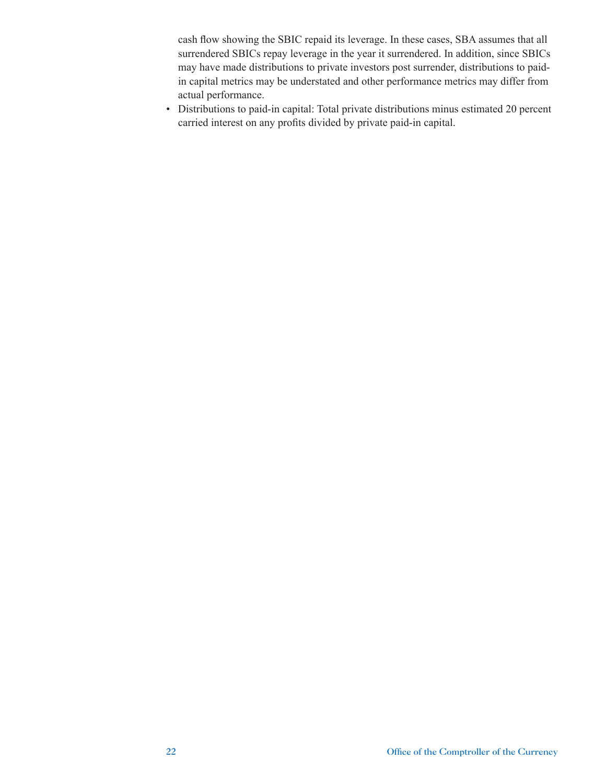cash flow showing the SBIC repaid its leverage. In these cases, SBA assumes that all surrendered SBICs repay leverage in the year it surrendered. In addition, since SBICs may have made distributions to private investors post surrender, distributions to paidin capital metrics may be understated and other performance metrics may differ from actual performance.

• Distributions to paid-in capital: Total private distributions minus estimated 20 percent carried interest on any profits divided by private paid-in capital.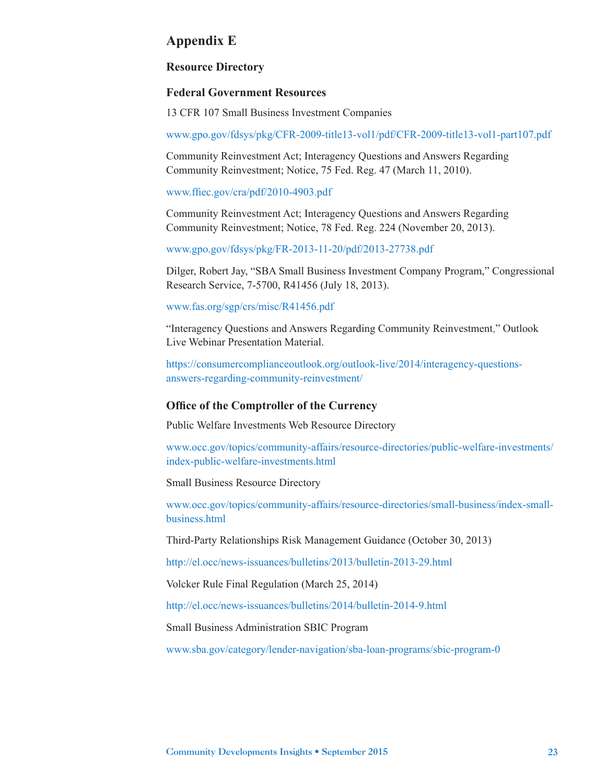## **Appendix E**

#### **Resource Directory**

#### **Federal Government Resources**

13 CFR 107 Small Business Investment Companies

[www.gpo.gov/fdsys/pkg/CFR-2009-title13-vol1/pdf/CFR-2009-title13-vol1-part107.pdf](http://www.gpo.gov/fdsys/pkg/CFR-2009-title13-vol1/pdf/CFR-2009-title13-vol1-part107.pdf)

Community Reinvestment Act; Interagency Questions and Answers Regarding Community Reinvestment; Notice, 75 Fed. Reg. 47 (March 11, 2010).

#### [www.ffiec.gov/cra/pdf/2010-4903.pdf](http://www.ffiec.gov/cra/pdf/2010-4903.pdf)

Community Reinvestment Act; Interagency Questions and Answers Regarding Community Reinvestment; Notice, 78 Fed. Reg. 224 (November 20, 2013).

[www.gpo.gov/fdsys/pkg/FR-2013-11-20/pdf/2013-27738.pdf](http://www.gpo.gov/fdsys/pkg/FR-2013-11-20/pdf/2013-27738.pdf)

Dilger, Robert Jay, "SBA Small Business Investment Company Program," Congressional Research Service, 7-5700, R41456 (July 18, 2013).

#### [www.fas.org/sgp/crs/misc/R41456.pdf](http://www.fas.org/sgp/crs/misc/R41456.pdf)

"Interagency Questions and Answers Regarding Community Reinvestment," Outlook Live Webinar Presentation Material.

[https://consumercomplianceoutlook.org/outlook-live/2014/interagency-questions](https://consumercomplianceoutlook.org/outlook-live/2014/interagency-questions-answers-regarding-community-reinvestment/)[answers-regarding-community-reinvestment/](https://consumercomplianceoutlook.org/outlook-live/2014/interagency-questions-answers-regarding-community-reinvestment/)

#### **Office of the Comptroller of the Currency**

Public Welfare Investments Web Resource Directory

[www.occ.gov/topics/community-affairs/resource-directories/public-welfare-investments/](http://www.occ.gov/topics/community-affairs/resource-directories/public-welfare-investments/index-public-welfare-investments.html) [index-public-welfare-investments.html](http://www.occ.gov/topics/community-affairs/resource-directories/public-welfare-investments/index-public-welfare-investments.html)

Small Business Resource Directory

[www.occ.gov/topics/community-affairs/resource-directories/small-business/index-small](http://www.occ.gov/topics/community-affairs/resource-directories/small-business/index-small-business.html)[business.html](http://www.occ.gov/topics/community-affairs/resource-directories/small-business/index-small-business.html)

Third-Party Relationships Risk Management Guidance (October 30, 2013)

<http://el.occ/news-issuances/bulletins/2013/bulletin-2013-29.html>

Volcker Rule Final Regulation (March 25, 2014)

<http://el.occ/news-issuances/bulletins/2014/bulletin-2014-9.html>

Small Business Administration SBIC Program

[www.sba.gov/category/lender-navigation/sba-loan-programs/sbic-program-0](https://www.sba.gov/category/lender-navigation/sba-loan-programs/sbic-program-0)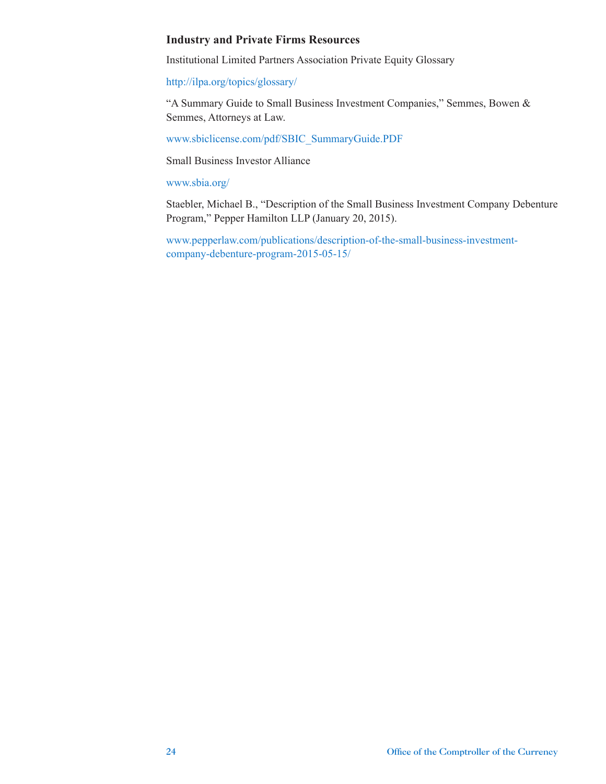#### **Industry and Private Firms Resources**

Institutional Limited Partners Association Private Equity Glossary

<http://ilpa.org/topics/glossary/>

"A Summary Guide to Small Business Investment Companies," Semmes, Bowen & Semmes, Attorneys at Law.

[www.sbiclicense.com/pdf/SBIC\\_SummaryGuide.PDF](http://www.sbiclicense.com/pdf/SBIC_SummaryGuide.PDF)

Small Business Investor Alliance

[www.sbia.org/](http://www.sbia.org/)

Staebler, Michael B., "Description of the Small Business Investment Company Debenture Program," Pepper Hamilton LLP (January 20, 2015).

[www.pepperlaw.com/publications/description-of-the-small-business-investment](http://www.pepperlaw.com/publications/description-of-the-small-business-investment-company-debenture-program-2015-05-15/)[company-debenture-program-2015-05-15/](http://www.pepperlaw.com/publications/description-of-the-small-business-investment-company-debenture-program-2015-05-15/)